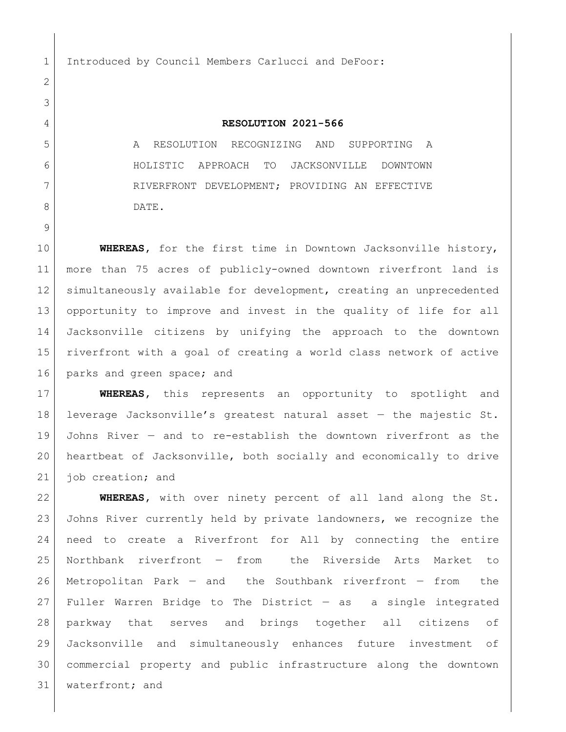1 Introduced by Council Members Carlucci and DeFoor:

## **RESOLUTION 2021-566**

 A RESOLUTION RECOGNIZING AND SUPPORTING A HOLISTIC APPROACH TO JACKSONVILLE DOWNTOWN 7 RIVERFRONT DEVELOPMENT; PROVIDING AN EFFECTIVE 8 DATE.

 **WHEREAS,** for the first time in Downtown Jacksonville history, more than 75 acres of publicly-owned downtown riverfront land is simultaneously available for development, creating an unprecedented opportunity to improve and invest in the quality of life for all Jacksonville citizens by unifying the approach to the downtown riverfront with a goal of creating a world class network of active 16 parks and green space; and

 **WHEREAS,** this represents an opportunity to spotlight and leverage Jacksonville's greatest natural asset — the majestic St. Johns River — and to re-establish the downtown riverfront as the heartbeat of Jacksonville, both socially and economically to drive 21 job creation; and

 **WHEREAS,** with over ninety percent of all land along the St. Johns River currently held by private landowners, we recognize the need to create a Riverfront for All by connecting the entire Northbank riverfront — from the Riverside Arts Market to Metropolitan Park — and the Southbank riverfront — from the Fuller Warren Bridge to The District — as a single integrated parkway that serves and brings together all citizens of Jacksonville and simultaneously enhances future investment of commercial property and public infrastructure along the downtown 31 | waterfront; and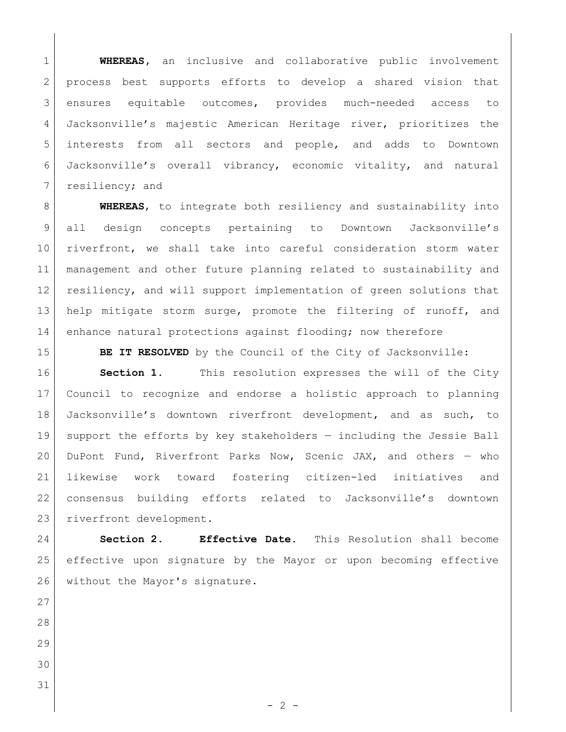**WHEREAS,** an inclusive and collaborative public involvement 2 process best supports efforts to develop a shared vision that ensures equitable outcomes, provides much-needed access to Jacksonville's majestic American Heritage river, prioritizes the interests from all sectors and people, and adds to Downtown Jacksonville's overall vibrancy, economic vitality, and natural 7 resiliency; and

 **WHEREAS**, to integrate both resiliency and sustainability into all design concepts pertaining to Downtown Jacksonville's riverfront, we shall take into careful consideration storm water management and other future planning related to sustainability and 12 resiliency, and will support implementation of green solutions that 13 help mitigate storm surge, promote the filtering of runoff, and 14 enhance natural protections against flooding; now therefore

**BE IT RESOLVED** by the Council of the City of Jacksonville:

**Section 1.** This resolution expresses the will of the City Council to recognize and endorse a holistic approach to planning Jacksonville's downtown riverfront development, and as such, to support the efforts by key stakeholders — including the Jessie Ball DuPont Fund, Riverfront Parks Now, Scenic JAX, and others — who likewise work toward fostering citizen-led initiatives and consensus building efforts related to Jacksonville's downtown 23 riverfront development.

 **Section 2. Effective Date.** This Resolution shall become effective upon signature by the Mayor or upon becoming effective 26 without the Mayor's signature.